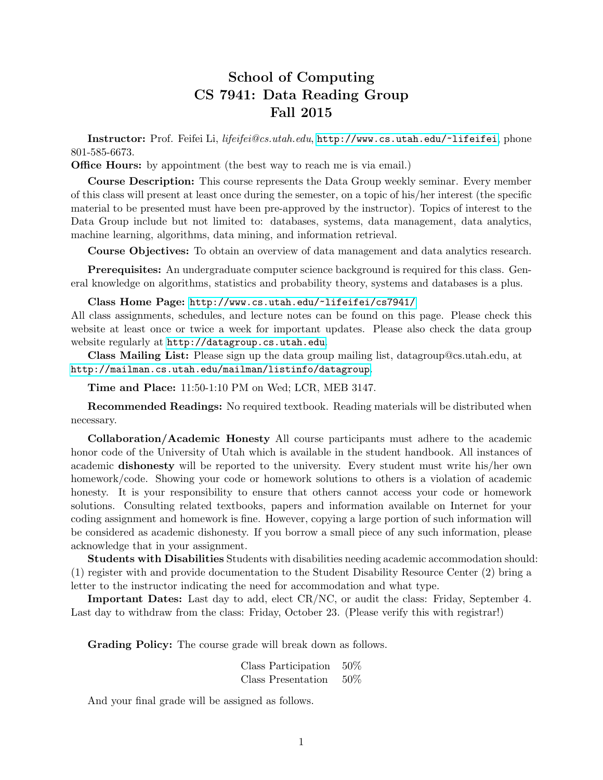## School of Computing CS 7941: Data Reading Group Fall 2015

Instructor: Prof. Feifei Li, lifeifei@cs.utah.edu, <http://www.cs.utah.edu/~lifeifei>, phone 801-585-6673.

**Office Hours:** by appointment (the best way to reach me is via email.)

Course Description: This course represents the Data Group weekly seminar. Every member of this class will present at least once during the semester, on a topic of his/her interest (the specific material to be presented must have been pre-approved by the instructor). Topics of interest to the Data Group include but not limited to: databases, systems, data management, data analytics, machine learning, algorithms, data mining, and information retrieval.

Course Objectives: To obtain an overview of data management and data analytics research.

Prerequisites: An undergraduate computer science background is required for this class. General knowledge on algorithms, statistics and probability theory, systems and databases is a plus.

Class Home Page: <http://www.cs.utah.edu/~lifeifei/cs7941/>

All class assignments, schedules, and lecture notes can be found on this page. Please check this website at least once or twice a week for important updates. Please also check the data group website regularly at <http://datagroup.cs.utah.edu>.

Class Mailing List: Please sign up the data group mailing list, datagroup@cs.utah.edu, at <http://mailman.cs.utah.edu/mailman/listinfo/datagroup>.

Time and Place: 11:50-1:10 PM on Wed; LCR, MEB 3147.

Recommended Readings: No required textbook. Reading materials will be distributed when necessary.

Collaboration/Academic Honesty All course participants must adhere to the academic honor code of the University of Utah which is available in the student handbook. All instances of academic dishonesty will be reported to the university. Every student must write his/her own homework/code. Showing your code or homework solutions to others is a violation of academic honesty. It is your responsibility to ensure that others cannot access your code or homework solutions. Consulting related textbooks, papers and information available on Internet for your coding assignment and homework is fine. However, copying a large portion of such information will be considered as academic dishonesty. If you borrow a small piece of any such information, please acknowledge that in your assignment.

Students with Disabilities Students with disabilities needing academic accommodation should: (1) register with and provide documentation to the Student Disability Resource Center (2) bring a letter to the instructor indicating the need for accommodation and what type.

Important Dates: Last day to add, elect CR/NC, or audit the class: Friday, September 4. Last day to withdraw from the class: Friday, October 23. (Please verify this with registrar!)

Grading Policy: The course grade will break down as follows.

| Class Participation | $50\%$ |
|---------------------|--------|
| Class Presentation  | 50%    |

And your final grade will be assigned as follows.